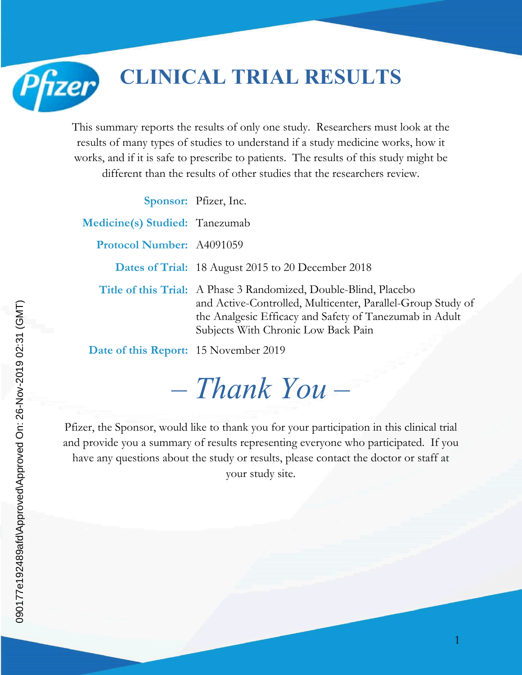**CLINICAL TRIAL RESULTS**

This summary reports the results of only one study. Researchers must look at the results of many types of studies to understand if a study medicine works, how it works, and if it is safe to prescribe to patients. The results of this study might be different than the results of other studies that the researchers review.

|                                              | Sponsor: Pfizer, Inc.                                                                                                                                                                                                             |
|----------------------------------------------|-----------------------------------------------------------------------------------------------------------------------------------------------------------------------------------------------------------------------------------|
| <b>Medicine(s) Studied:</b> Tanezumab        |                                                                                                                                                                                                                                   |
| <b>Protocol Number: A4091059</b>             |                                                                                                                                                                                                                                   |
|                                              | <b>Dates of Trial:</b> 18 August 2015 to 20 December 2018                                                                                                                                                                         |
|                                              | Title of this Trial: A Phase 3 Randomized, Double-Blind, Placebo<br>and Active-Controlled, Multicenter, Parallel-Group Study of<br>the Analgesic Efficacy and Safety of Tanezumab in Adult<br>Subjects With Chronic Low Back Pain |
| <b>Date of this Report:</b> 15 November 2019 |                                                                                                                                                                                                                                   |

# *– Thank You –*

Pfizer, the Sponsor, would like to thank you for your participation in this clinical trial and provide you a summary of results representing everyone who participated. If you have any questions about the study or results, please contact the doctor or staff at your study site.

Pfizer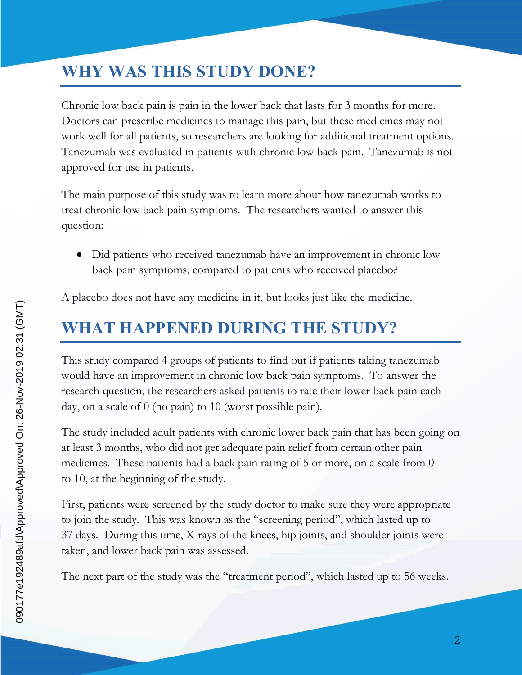## **WHY WAS THIS STUDY DONE?**

Chronic low back pain is pain in the lower back that lasts for 3 months for more. Doctors can prescribe medicines to manage this pain, but these medicines may not work well for all patients, so researchers are looking for additional treatment options. Tanezumab was evaluated in patients with chronic low back pain. Tanezumab is not approved for use in patients.

The main purpose of this study was to learn more about how tanezumab works to treat chronic low back pain symptoms. The researchers wanted to answer this question:

 Did patients who received tanezumab have an improvement in chronic low back pain symptoms, compared to patients who received placebo?

A placebo does not have any medicine in it, but looks just like the medicine.

## **WHAT HAPPENED DURING THE STUDY?**

This study compared 4 groups of patients to find out if patients taking tanezumab would have an improvement in chronic low back pain symptoms. To answer the research question, the researchers asked patients to rate their lower back pain each day, on a scale of 0 (no pain) to 10 (worst possible pain).

The study included adult patients with chronic lower back pain that has been going on at least 3 months, who did not get adequate pain relief from certain other pain medicines. These patients had a back pain rating of 5 or more, on a scale from 0 to 10, at the beginning of the study.

First, patients were screened by the study doctor to make sure they were appropriate to join the study. This was known as the "screening period", which lasted up to 37 days. During this time, X-rays of the knees, hip joints, and shoulder joints were taken, and lower back pain was assessed.

The next part of the study was the "treatment period", which lasted up to 56 weeks.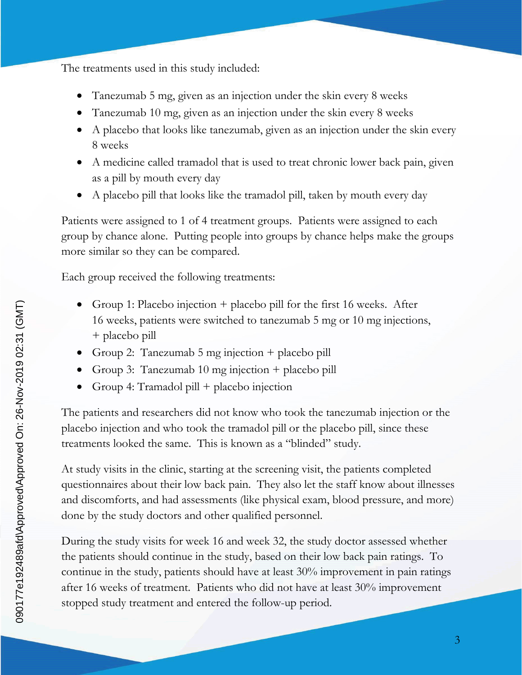The treatments used in this study included:

- Tanezumab 5 mg, given as an injection under the skin every 8 weeks
- Tanezumab 10 mg, given as an injection under the skin every 8 weeks
- A placebo that looks like tanezumab, given as an injection under the skin every 8 weeks
- A medicine called tramadol that is used to treat chronic lower back pain, given as a pill by mouth every day
- A placebo pill that looks like the tramadol pill, taken by mouth every day

Patients were assigned to 1 of 4 treatment groups. Patients were assigned to each group by chance alone. Putting people into groups by chance helps make the groups more similar so they can be compared.

Each group received the following treatments:

- Group 1: Placebo injection  $+$  placebo pill for the first 16 weeks. After 16 weeks, patients were switched to tanezumab 5 mg or 10 mg injections, + placebo pill
- Group 2: Tanezumab 5 mg injection + placebo pill
- Group 3: Tanezumab 10 mg injection + placebo pill
- Group 4: Tramadol pill + placebo injection

The patients and researchers did not know who took the tanezumab injection or the placebo injection and who took the tramadol pill or the placebo pill, since these treatments looked the same. This is known as a "blinded" study.

At study visits in the clinic, starting at the screening visit, the patients completed questionnaires about their low back pain. They also let the staff know about illnesses and discomforts, and had assessments (like physical exam, blood pressure, and more) done by the study doctors and other qualified personnel.

During the study visits for week 16 and week 32, the study doctor assessed whether the patients should continue in the study, based on their low back pain ratings. To continue in the study, patients should have at least 30% improvement in pain ratings after 16 weeks of treatment. Patients who did not have at least 30% improvement stopped study treatment and entered the follow-up period.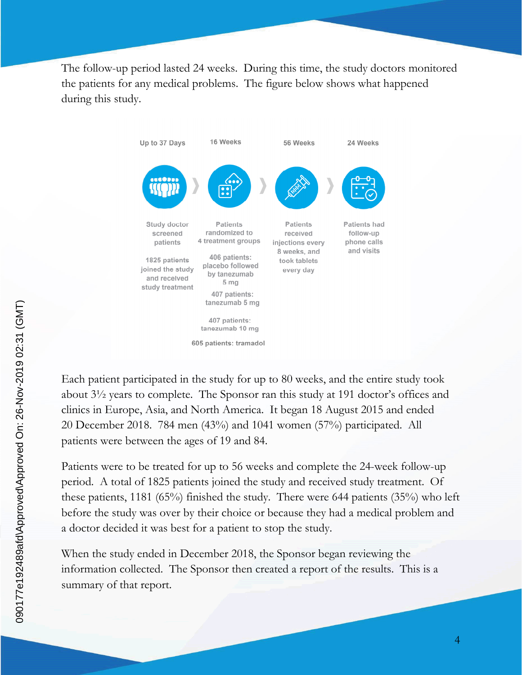The follow-up period lasted 24 weeks. During this time, the study doctors monitored the patients for any medical problems. The figure below shows what happened during this study.



Each patient participated in the study for up to 80 weeks, and the entire study took about 3½ years to complete. The Sponsor ran this study at 191 doctor's offices and clinics in Europe, Asia, and North America. It began 18 August 2015 and ended 20 December 2018. 784 men (43%) and 1041 women (57%) participated. All patients were between the ages of 19 and 84.

Patients were to be treated for up to 56 weeks and complete the 24-week follow-up period. A total of 1825 patients joined the study and received study treatment. Of these patients, 1181 (65%) finished the study. There were 644 patients (35%) who left before the study was over by their choice or because they had a medical problem and a doctor decided it was best for a patient to stop the study.

When the study ended in December 2018, the Sponsor began reviewing the information collected. The Sponsor then created a report of the results. This is a summary of that report.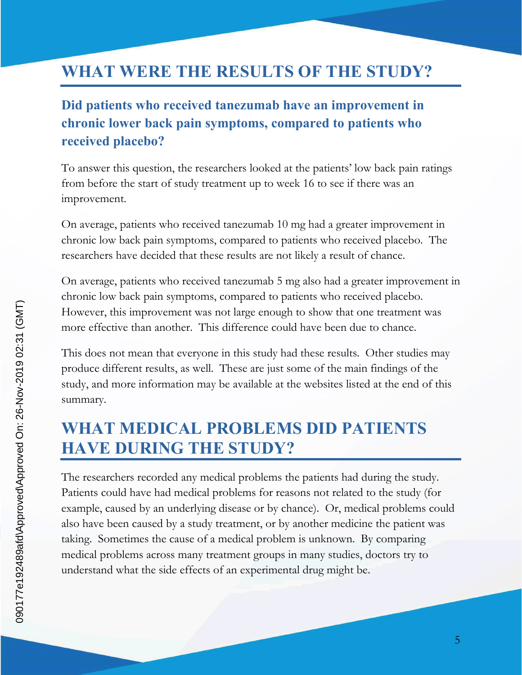## **WHAT WERE THE RESULTS OF THE STUDY?**

#### **Did patients who received tanezumab have an improvement in chronic lower back pain symptoms, compared to patients who received placebo?**

To answer this question, the researchers looked at the patients' low back pain ratings from before the start of study treatment up to week 16 to see if there was an improvement.

On average, patients who received tanezumab 10 mg had a greater improvement in chronic low back pain symptoms, compared to patients who received placebo. The researchers have decided that these results are not likely a result of chance.

On average, patients who received tanezumab 5 mg also had a greater improvement in chronic low back pain symptoms, compared to patients who received placebo. However, this improvement was not large enough to show that one treatment was more effective than another. This difference could have been due to chance.

This does not mean that everyone in this study had these results. Other studies may produce different results, as well. These are just some of the main findings of the study, and more information may be available at the websites listed at the end of this summary.

## **WHAT MEDICAL PROBLEMS DID PATIENTS HAVE DURING THE STUDY?**

The researchers recorded any medical problems the patients had during the study. Patients could have had medical problems for reasons not related to the study (for example, caused by an underlying disease or by chance). Or, medical problems could also have been caused by a study treatment, or by another medicine the patient was taking. Sometimes the cause of a medical problem is unknown. By comparing medical problems across many treatment groups in many studies, doctors try to understand what the side effects of an experimental drug might be.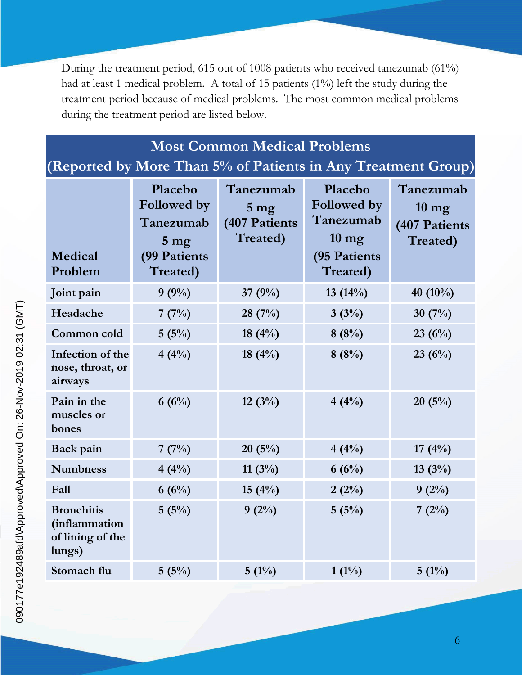During the treatment period, 615 out of 1008 patients who received tanezumab (61%) had at least 1 medical problem. A total of 15 patients (1%) left the study during the treatment period because of medical problems. The most common medical problems during the treatment period are listed below.

## **Most Common Medical Problems**

**(Reported by More Than 5% of Patients in Any Treatment Group)**

| Medical<br>Problem                                               | Placebo<br>Followed by<br>Tanezumab<br>5 <sub>mg</sub><br>(99 Patients<br>Treated) | Tanezumab<br>5 <sub>mg</sub><br>(407 Patients<br>Treated) | Placebo<br>Followed by<br>Tanezumab<br>$10 \text{ mg}$<br>(95 Patients<br>Treated) | Tanezumab<br>$10 \text{ mg}$<br>(407 Patients<br>Treated) |
|------------------------------------------------------------------|------------------------------------------------------------------------------------|-----------------------------------------------------------|------------------------------------------------------------------------------------|-----------------------------------------------------------|
| Joint pain                                                       | 9(9%)                                                                              | 37 $(9%)$                                                 | 13 $(14%)$                                                                         | 40 (10%)                                                  |
| Headache                                                         | 7(7%)                                                                              | 28(7%)                                                    | 3(3%)                                                                              | 30 $(7%)$                                                 |
| Common cold                                                      | 5(5%)                                                                              | 18 $(4\%)$                                                | 8(8%)                                                                              | 23(6%)                                                    |
| Infection of the<br>nose, throat, or<br>airways                  | 4(4%)                                                                              | 18 $(4%)$                                                 | 8(8%)                                                                              | 23(6%)                                                    |
| Pain in the<br>muscles or<br>bones                               | 6(6%)                                                                              | 12(3%)                                                    | 4(4%)                                                                              | 20(5%)                                                    |
| Back pain                                                        | 7(7%)                                                                              | 20(5%)                                                    | 4(4%)                                                                              | 17 $(4\%)$                                                |
| <b>Numbness</b>                                                  | 4(4%)                                                                              | 11 $(3%)$                                                 | 6(6%)                                                                              | 13(3%)                                                    |
| Fall                                                             | 6(6%)                                                                              | 15(4%)                                                    | 2(2%)                                                                              | 9(2%)                                                     |
| <b>Bronchitis</b><br>(inflammation<br>of lining of the<br>lungs) | 5(5%)                                                                              | $9(2\%)$                                                  | 5(5%)                                                                              | 7(2%)                                                     |
| Stomach flu                                                      | 5(5%)                                                                              | $5(1\%)$                                                  | $1(1\%)$                                                                           | $5(1\%)$                                                  |